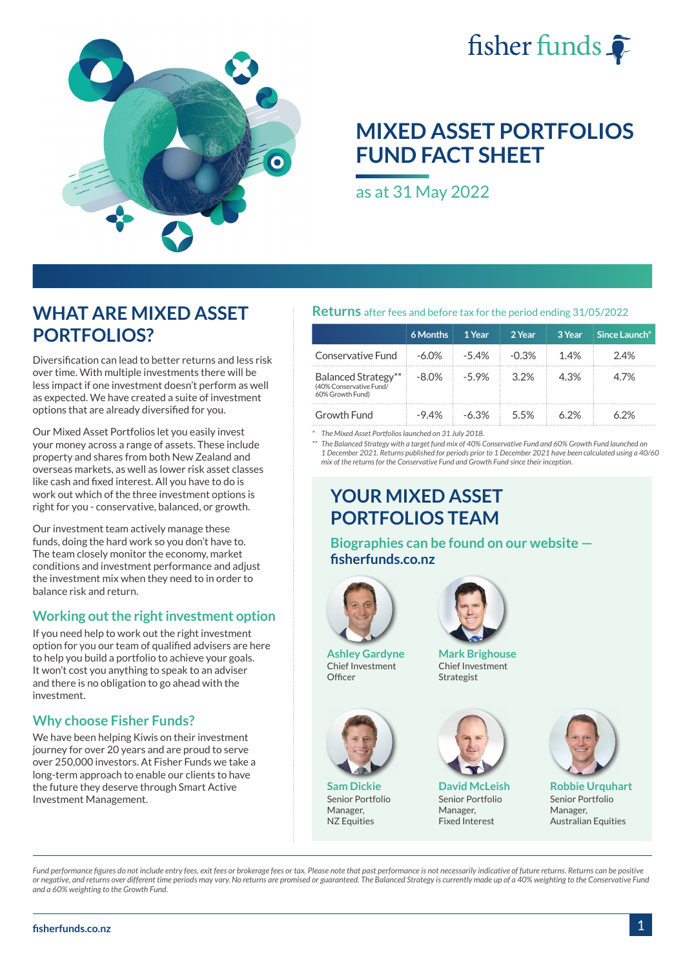



# **MIXED ASSET PORTFOLIOS FUND FACT SHEET**

as at 31 May 2022

# **WHAT ARE MIXED ASSET PORTFOLIOS?**

Diversification can lead to better returns and less risk over time. With multiple investments there will be less impact if one investment doesn't perform as well as expected. We have created a suite of investment options that are already diversified for you.

Our Mixed Asset Portfolios let you easily invest your money across a range of assets. These include property and shares from both New Zealand and overseas markets, as well as lower risk asset classes like cash and fixed interest. All you have to do is work out which of the three investment options is right for you - conservative, balanced, or growth.

Our investment team actively manage these funds, doing the hard work so you don't have to. The team closely monitor the economy, market conditions and investment performance and adjust the investment mix when they need to in order to balance risk and return.

## **Working out the right investment option**

If you need help to work out the right investment option for you our team of qualified advisers are here to help you build a portfolio to achieve your goals. It won't cost you anything to speak to an adviser and there is no obligation to go ahead with the investment.

# **Why choose Fisher Funds?**

We have been helping Kiwis on their investment journey for over 20 years and are proud to serve over 250,000 investors. At Fisher Funds we take a long-term approach to enable our clients to have the future they deserve through Smart Active Investment Management.

## **Returns** after fees and before tax for the period ending 31/05/2022

|                                                                    | 6 Months | 1 Year   | 2 Year  | 3 Year | Since Launch* |
|--------------------------------------------------------------------|----------|----------|---------|--------|---------------|
| Conservative Fund                                                  | $-6.0\%$ | $-5.4%$  | $-0.3%$ | 14%    | 2.4%          |
| Balanced Strategy**<br>(40% Conservative Fund/<br>60% Growth Fund) | $-8.0\%$ | $-59%$   | 3.2%    | 4.3%   | 47%           |
| Growth Fund                                                        | $-94%$   | $-6.3\%$ | 55%     | 6 2%   | 62%           |

*\* The Mixed Asset Portfolios launched on 31 July 2018.*

*\*\* The Balanced Strategy with a target fund mix of 40% Conservative Fund and 60% Growth Fund launched on 1 December 2021. Returns published for periods prior to 1 December 2021 have been calculated using a 40/60 mix of the returns for the Conservative Fund and Growth Fund since their inception.*

# **YOUR MIXED ASSET PORTFOLIOS TEAM**

**Biographies can be found on our website [fisherfunds.co.nz](https://fisherfunds.co.nz/about-us/investment-team)**



**Ashley Gardyne** Chief Investment Officer



**Sam Dickie** Senior Portfolio Manager, NZ Equities



**Mark Brighouse** Chief Investment Strategist



**David McLeish** Senior Portfolio Manager, Fixed Interest



**Robbie Urquhart** Senior Portfolio Manager, Australian Equities

*Fund performance figures do not include entry fees, exit fees or brokerage fees or tax. Please note that past performance is not necessarily indicative of future returns. Returns can be positive or negative, and returns over different time periods may vary. No returns are promised or guaranteed. The Balanced Strategy is currently made up of a 40% weighting to the Conservative Fund and a 60% weighting to the Growth Fund.*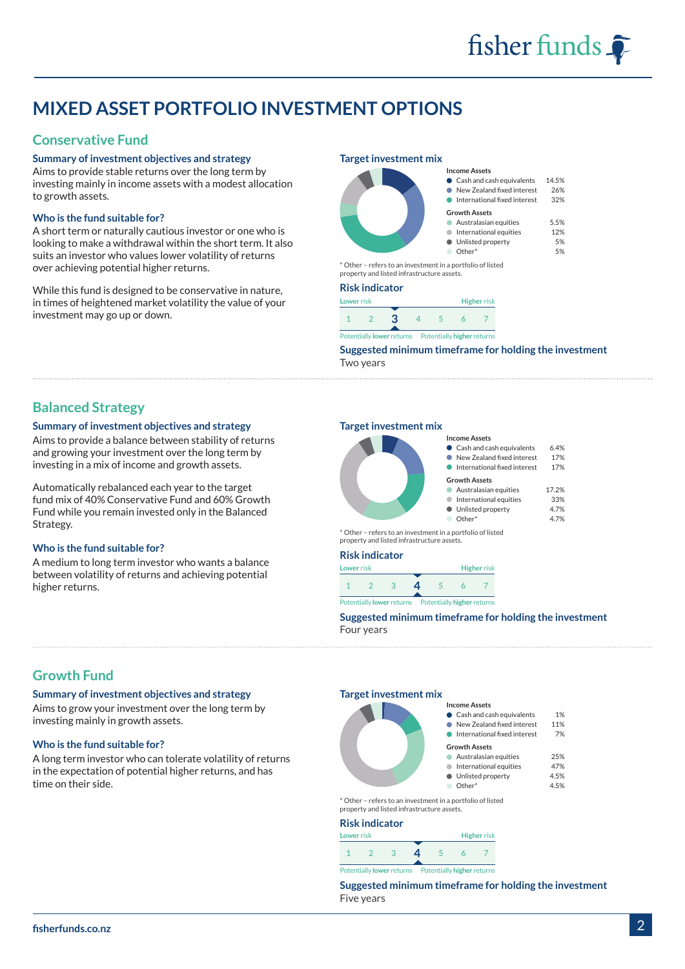# **MIXED ASSET PORTFOLIO INVESTMENT OPTIONS**

# **Conservative Fund**

### **Summary of investment objectives and strategy**

Aims to provide stable returns over the long term by investing mainly in income assets with a modest allocation to growth assets.

### **Who is the fund suitable for?**

A short term or naturally cautious investor or one who is looking to make a withdrawal within the short term. It also suits an investor who values lower volatility of returns over achieving potential higher returns.

While this fund is designed to be conservative in nature, in times of heightened market volatility the value of your investment may go up or down.

#### **Target investment mix**



\* Other – refers to an investment in a portfolio of listed property and listed infrastructure assets.

#### **Risk indicator**



Potentially **lower** returns Potentially **higher** returns

**Suggested minimum timeframe for holding the investment** Two years

**Income Assets**

**Growth Assets**

Cash and cash equivalents 14.5% New Zealand fixed interest 26% International fixed interest 32%

Australasian equities 5.5% International equities 12% Unlisted property 5% Other\* 5%

**Income Assets**

ò  $\bullet$ 

## **Balanced Strategy**

### **Summary of investment objectives and strategy**

Aims to provide a balance between stability of returns and growing your investment over the long term by investing in a mix of income and growth assets.

Automatically rebalanced each year to the target fund mix of 40% Conservative Fund and 60% Growth Fund while you remain invested only in the Balanced Strategy.

### **Who is the fund suitable for?**

A medium to long term investor who wants a balance between volatility of returns and achieving potential higher returns.

## **Target investment mix**



#### Cash and cash equivalents 6.4% New Zealand fixed interest 17%

| International fixed interest | 17%   |
|------------------------------|-------|
| <b>Growth Assets</b>         |       |
| • Australasian equities      | 17.2% |

| International equities | 33%  |
|------------------------|------|
| Unlisted property      | 4.7% |

Other\* 4.7%

\* Other – refers to an investment in a portfolio of listed property and listed infrastructure assets.

| <b>Risk indicator</b> |            |     |                                                       |   |  |                    |
|-----------------------|------------|-----|-------------------------------------------------------|---|--|--------------------|
| Lower risk            |            |     |                                                       |   |  | <b>Higher</b> risk |
|                       | $\sqrt{2}$ | - 3 | $\mathbf{a}$                                          | 5 |  |                    |
|                       |            |     | Potentially lower returns  Potentially higher returns |   |  |                    |

**Suggested minimum timeframe for holding the investment** Four years

**Income Assets**

**Growth Assets**

Cash and cash equivalents 1% New Zealand fixed interest 11% **International fixed interest** 7%

Australasian equities 25% International equities 47% Unlisted property 4.5% Other\* 4.5%

# **Growth Fund**

**Summary of investment objectives and strategy** 

Aims to grow your investment over the long term by investing mainly in growth assets.

### **Who is the fund suitable for?**

A long term investor who can tolerate volatility of returns in the expectation of potential higher returns, and has time on their side.

#### **Target investment mix**



\* Other – refers to an investment in a portfolio of listed property and listed infrastructure assets.

#### **Risk indicator**

| NDK IIIUKJUU                                                         |  |   |  |                          |  |                    |
|----------------------------------------------------------------------|--|---|--|--------------------------|--|--------------------|
| <b>Lower</b> risk                                                    |  |   |  |                          |  | <b>Higher risk</b> |
|                                                                      |  | ദ |  | $\overline{\phantom{a}}$ |  |                    |
| Potentially <b>lower</b> returns   Potentially <b>higher</b> returns |  |   |  |                          |  |                    |

**Suggested minimum timeframe for holding the investment** Five years